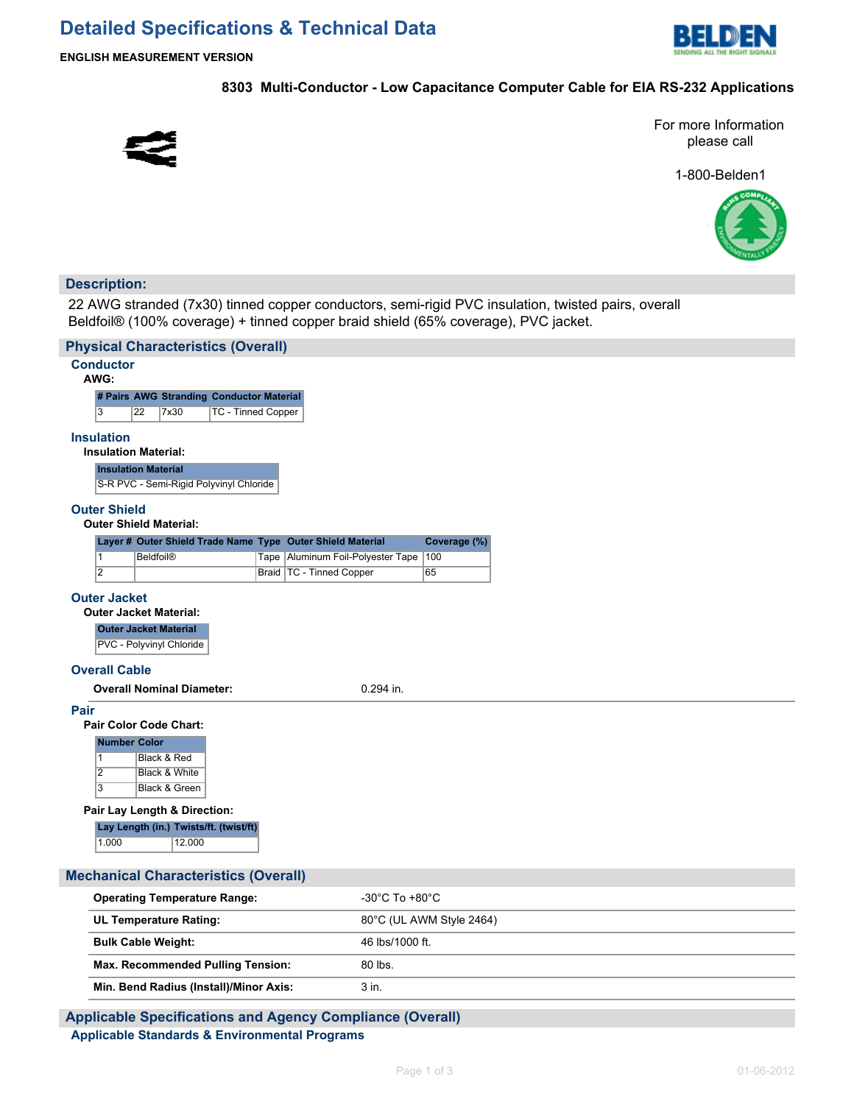

**ENGLISH MEASUREMENT VERSION**

## **8303 Multi-Conductor - Low Capacitance Computer Cable for EIA RS-232 Applications**



For more Information please call

1-800-Belden1



# **Description:**

22 AWG stranded (7x30) tinned copper conductors, semi-rigid PVC insulation, twisted pairs, overall Beldfoil® (100% coverage) + tinned copper braid shield (65% coverage), PVC jacket.

| <b>Physical Characteristics (Overall)</b>                                                                                                            |                                     |  |  |
|------------------------------------------------------------------------------------------------------------------------------------------------------|-------------------------------------|--|--|
| <b>Conductor</b><br>AWG:                                                                                                                             |                                     |  |  |
| # Pairs AWG Stranding Conductor Material                                                                                                             |                                     |  |  |
| $\overline{3}$<br>22<br>7x30<br>TC - Tinned Copper                                                                                                   |                                     |  |  |
| <b>Insulation</b><br><b>Insulation Material:</b>                                                                                                     |                                     |  |  |
| <b>Insulation Material</b>                                                                                                                           |                                     |  |  |
| S-R PVC - Semi-Rigid Polyvinyl Chloride                                                                                                              |                                     |  |  |
| <b>Outer Shield</b><br><b>Outer Shield Material:</b>                                                                                                 |                                     |  |  |
| Layer # Outer Shield Trade Name Type Outer Shield Material                                                                                           | Coverage (%)                        |  |  |
| $\overline{1}$<br><b>Beldfoil®</b><br>Tape                                                                                                           | Aluminum Foil-Polyester Tape<br>100 |  |  |
| $\overline{2}$<br>Braid TC - Tinned Copper                                                                                                           | 65                                  |  |  |
| <b>Outer Jacket</b><br><b>Outer Jacket Material:</b><br><b>Outer Jacket Material</b><br>PVC - Polyvinyl Chloride<br><b>Overall Cable</b>             |                                     |  |  |
| <b>Overall Nominal Diameter:</b>                                                                                                                     | $0.294$ in.                         |  |  |
| Pair<br><b>Pair Color Code Chart:</b><br><b>Number Color</b><br>Black & Red<br>$\mathbf{1}$<br>$\overline{2}$<br>Black & White<br>3<br>Black & Green |                                     |  |  |
| Pair Lay Length & Direction:                                                                                                                         |                                     |  |  |
| Lay Length (in.) Twists/ft. (twist/ft)<br>1.000<br>12.000                                                                                            |                                     |  |  |
| <b>Mechanical Characteristics (Overall)</b>                                                                                                          |                                     |  |  |
| <b>Operating Temperature Range:</b>                                                                                                                  | -30°C To +80°C                      |  |  |
| <b>UL Temperature Rating:</b>                                                                                                                        | 80°C (UL AWM Style 2464)            |  |  |
| <b>Bulk Cable Weight:</b>                                                                                                                            | 46 lbs/1000 ft.                     |  |  |
|                                                                                                                                                      | 80 lbs.                             |  |  |
| Max. Recommended Pulling Tension:                                                                                                                    |                                     |  |  |

# **Applicable Specifications and Agency Compliance (Overall) Applicable Standards & Environmental Programs**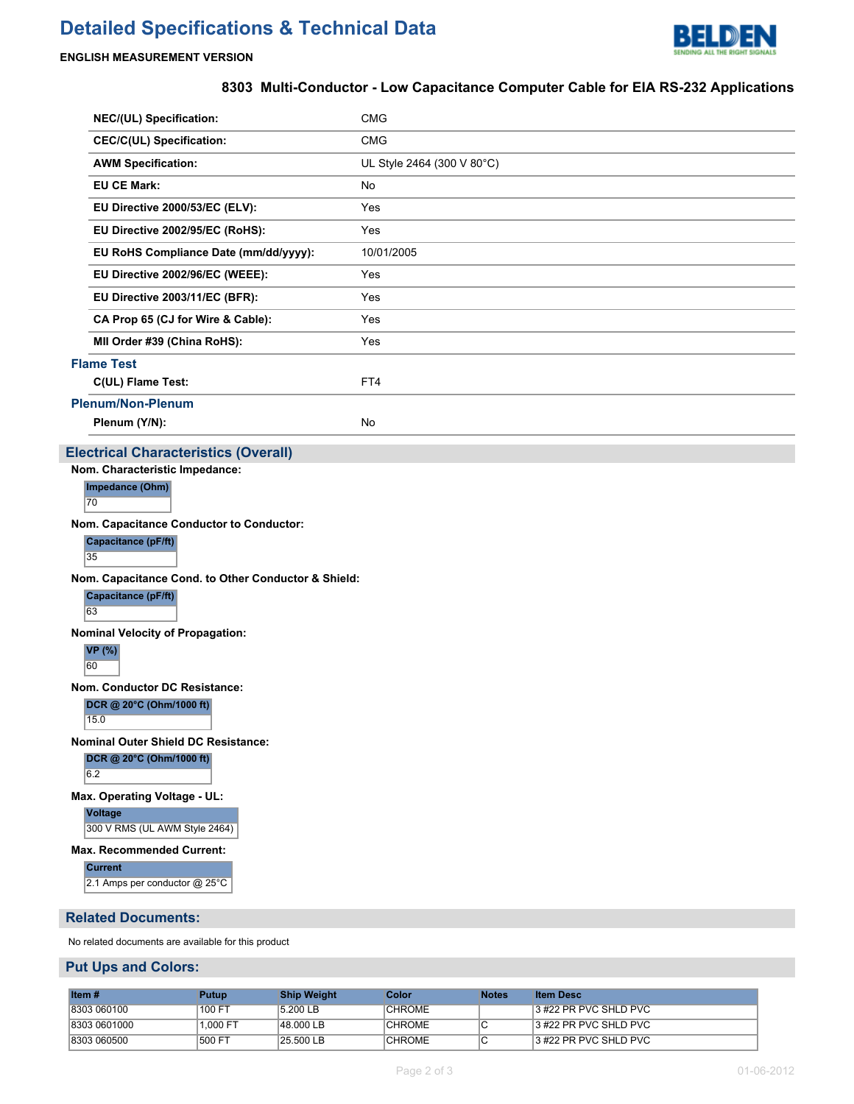# **Detailed Specifications & Technical Data**



#### **ENGLISH MEASUREMENT VERSION**

## **8303 Multi-Conductor - Low Capacitance Computer Cable for EIA RS-232 Applications**

| <b>NEC/(UL) Specification:</b>              | <b>CMG</b>                 |  |
|---------------------------------------------|----------------------------|--|
| <b>CEC/C(UL) Specification:</b>             | <b>CMG</b>                 |  |
| <b>AWM Specification:</b>                   | UL Style 2464 (300 V 80°C) |  |
| <b>EU CE Mark:</b>                          | No                         |  |
| EU Directive 2000/53/EC (ELV):              | Yes                        |  |
| EU Directive 2002/95/EC (RoHS):             | Yes                        |  |
| EU RoHS Compliance Date (mm/dd/yyyy):       | 10/01/2005                 |  |
| EU Directive 2002/96/EC (WEEE):             | Yes                        |  |
| EU Directive 2003/11/EC (BFR):              | Yes                        |  |
| CA Prop 65 (CJ for Wire & Cable):           | Yes                        |  |
| MII Order #39 (China RoHS):                 | Yes                        |  |
| <b>Flame Test</b>                           |                            |  |
| C(UL) Flame Test:                           | FT4                        |  |
| <b>Plenum/Non-Plenum</b>                    |                            |  |
| Plenum (Y/N):                               | No                         |  |
| <b>Electrical Characteristics (Overall)</b> |                            |  |

**Nom. Characteristic Impedance:**

**Impedance (Ohm)**

70

**Nom. Capacitance Conductor to Conductor:**

**Capacitance (pF/ft)**

35

**Nom. Capacitance Cond. to Other Conductor & Shield:**

**Capacitance (pF/ft)**

63

**Nominal Velocity of Propagation:**

**VP (%)**

60

**Nom. Conductor DC Resistance:**

**DCR @ 20°C (Ohm/1000 ft)**

15.0

**Nominal Outer Shield DC Resistance:**

**DCR @ 20°C (Ohm/1000 ft)**  $6.2$ 

**Max. Operating Voltage - UL:**

**Voltage**

300 V RMS (UL AWM Style 2464)

**Max. Recommended Current:**

**Current**

2.1 Amps per conductor @ 25°C

#### **Related Documents:**

No related documents are available for this product

## **Put Ups and Colors:**

| Item $#$     | Putup    | <b>Ship Weight</b> | Color         | <b>Notes</b> | <b>Item Desc</b>      |
|--------------|----------|--------------------|---------------|--------------|-----------------------|
| 8303 060100  | 100 FT   | 5.200 LB           | <b>CHROME</b> |              | 3 #22 PR PVC SHLD PVC |
| 8303 0601000 | 1.000 FT | 48.000 LB          | <b>CHROME</b> |              | 3 #22 PR PVC SHLD PVC |
| 8303 060500  | 500 FT   | 25.500 LB          | <b>CHROME</b> |              | 3 #22 PR PVC SHLD PVC |